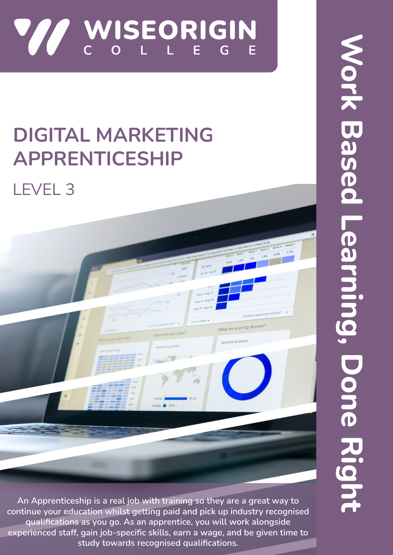

# **DIGITAL MARKETING APPRENTICESHIP**

## LEVEL 3



**An Apprenticeship is a real job with training so they are a great way to continue your education whilst getting paid and pick up industry recognised qualifications as you go. As an apprentice, you will work alongside experienced staff, gain job-specific skills, earn a wage, and be given time to study towards recognised qualifications.**